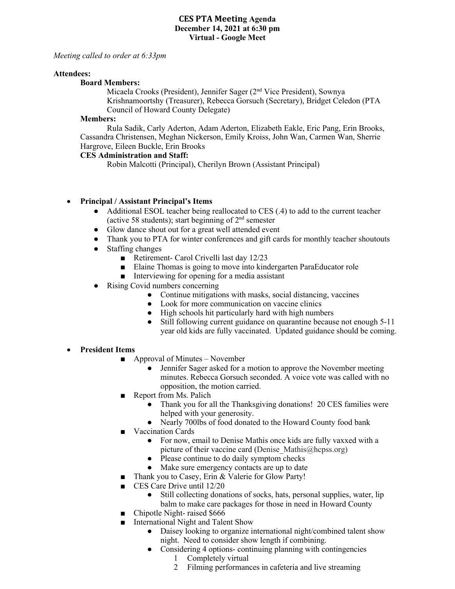### **CES PTA Meeting Agenda December 14, 2021 at 6:30 pm Virtual - Google Meet**

### *Meeting called to order at 6:33pm*

#### **Attendees:**

#### **Board Members:**

Micaela Crooks (President), Jennifer Sager (2nd Vice President), Sownya Krishnamoortshy (Treasurer), Rebecca Gorsuch (Secretary), Bridget Celedon (PTA Council of Howard County Delegate)

#### **Members:**

Rula Sadik, Carly Aderton, Adam Aderton, Elizabeth Eakle, Eric Pang, Erin Brooks, Cassandra Christensen, Meghan Nickerson, Emily Kroiss, John Wan, Carmen Wan, Sherrie Hargrove, Eileen Buckle, Erin Brooks

### **CES Administration and Staff:**

Robin Malcotti (Principal), Cherilyn Brown (Assistant Principal)

### • **Principal / Assistant Principal's Items**

- Additional ESOL teacher being reallocated to CES (.4) to add to the current teacher (active 58 students); start beginning of  $2<sup>nd</sup>$  semester
- Glow dance shout out for a great well attended event
- Thank you to PTA for winter conferences and gift cards for monthly teacher shoutouts
- Staffing changes
	- Retirement- Carol Crivelli last day 12/23
	- Elaine Thomas is going to move into kindergarten ParaEducator role
	- Interviewing for opening for a media assistant
- Rising Covid numbers concerning
	- Continue mitigations with masks, social distancing, vaccines
	- Look for more communication on vaccine clinics
	- High schools hit particularly hard with high numbers
	- Still following current guidance on quarantine because not enough 5-11 year old kids are fully vaccinated. Updated guidance should be coming.

### • **President Items**

- $\blacksquare$  Approval of Minutes November
	- Jennifer Sager asked for a motion to approve the November meeting minutes. Rebecca Gorsuch seconded. A voice vote was called with no opposition, the motion carried.
- Report from Ms. Palich
	- Thank you for all the Thanksgiving donations! 20 CES families were helped with your generosity.
	- Nearly 700lbs of food donated to the Howard County food bank
- Vaccination Cards
	- For now, email to Denise Mathis once kids are fully vaxxed with a picture of their vaccine card (Denise Mathis $@$ hcpss.org)
	- Please continue to do daily symptom checks
	- Make sure emergency contacts are up to date
- Thank you to Casey, Erin & Valerie for Glow Party!
- CES Care Drive until 12/20
	- Still collecting donations of socks, hats, personal supplies, water, lip balm to make care packages for those in need in Howard County
- Chipotle Night- raised \$666
- International Night and Talent Show
	- Daisey looking to organize international night/combined talent show night. Need to consider show length if combining.
	- Considering 4 options- continuing planning with contingencies
		- 1 Completely virtual
		- 2 Filming performances in cafeteria and live streaming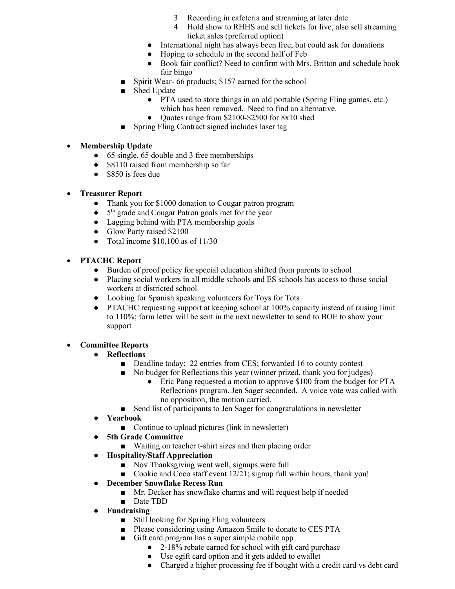- 3 Recording in cafeteria and streaming at later date
- 4 Hold show to RHHS and sell tickets for live, also sell streaming ticket sales (preferred option)
- International night has always been free; but could ask for donations
- Hoping to schedule in the second half of Feb
- Book fair conflict? Need to confirm with Mrs. Britton and schedule book fair bingo
- Spirit Wear- 66 products; \$157 earned for the school
- Shed Update
	- PTA used to store things in an old portable (Spring Fling games, etc.) which has been removed. Need to find an alternative.
	- Ouotes range from \$2100-\$2500 for 8x10 shed
- Spring Fling Contract signed includes laser tag

## • **Membership Update**

- 65 single, 65 double and 3 free memberships
- \$8110 raised from membership so far
- \$850 is fees due

## • **Treasurer Report**

- Thank you for \$1000 donation to Cougar patron program
- $\bullet$  5<sup>th</sup> grade and Cougar Patron goals met for the year
- Lagging behind with PTA membership goals
- Glow Party raised \$2100
- Total income  $$10,100$  as of  $11/30$

## • **PTACHC Report**

- Burden of proof policy for special education shifted from parents to school
- Placing social workers in all middle schools and ES schools has access to those social workers at districted school
- Looking for Spanish speaking volunteers for Toys for Tots
- PTACHC requesting support at keeping school at 100% capacity instead of raising limit to 110%; form letter will be sent in the next newsletter to send to BOE to show your support

# • **Committee Reports**

- **Reflections**
	- Deadline today; 22 entries from CES; forwarded 16 to county contest
	- No budget for Reflections this year (winner prized, thank you for judges)
		- Eric Pang requested a motion to approve \$100 from the budget for PTA Reflections program. Jen Sager seconded. A voice vote was called with no opposition, the motion carried.
	- Send list of participants to Jen Sager for congratulations in newsletter
- **Yearbook**
	- Continue to upload pictures (link in newsletter)
- **5th Grade Committee**
	- Waiting on teacher t-shirt sizes and then placing order
- **Hospitality/Staff Appreciation**
	- Nov Thanksgiving went well, signups were full
	- Cookie and Coco staff event 12/21; signup full within hours, thank you!
- **December Snowflake Recess Run**
	- Mr. Decker has snowflake charms and will request help if needed
	- Date TBD
- **Fundraising** 
	- Still looking for Spring Fling volunteers
	- Please considering using Amazon Smile to donate to CES PTA
	- Gift card program has a super simple mobile app
		- 2-18% rebate earned for school with gift card purchase
		- Use egift card option and it gets added to ewallet
		- Charged a higher processing fee if bought with a credit card vs debt card